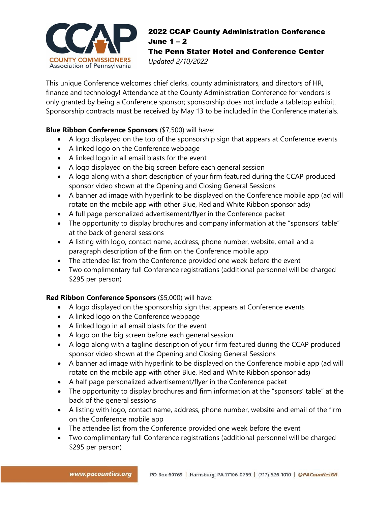

## 2022 CCAP County Administration Conference June 1 – 2

The Penn Stater Hotel and Conference Center *Updated 2/10/2022*

This unique Conference welcomes chief clerks, county administrators, and directors of HR, finance and technology! Attendance at the County Administration Conference for vendors is only granted by being a Conference sponsor; sponsorship does not include a tabletop exhibit. Sponsorship contracts must be received by May 13 to be included in the Conference materials.

## **Blue Ribbon Conference Sponsors** (\$7,500) will have:

- A logo displayed on the top of the sponsorship sign that appears at Conference events
- A linked logo on the Conference webpage
- A linked logo in all email blasts for the event
- A logo displayed on the big screen before each general session
- A logo along with a short description of your firm featured during the CCAP produced sponsor video shown at the Opening and Closing General Sessions
- A banner ad image with hyperlink to be displayed on the Conference mobile app (ad will rotate on the mobile app with other Blue, Red and White Ribbon sponsor ads)
- A full page personalized advertisement/flyer in the Conference packet
- The opportunity to display brochures and company information at the "sponsors' table" at the back of general sessions
- A listing with logo, contact name, address, phone number, website, email and a paragraph description of the firm on the Conference mobile app
- The attendee list from the Conference provided one week before the event
- Two complimentary full Conference registrations (additional personnel will be charged \$295 per person)

## **Red Ribbon Conference Sponsors** (\$5,000) will have:

- A logo displayed on the sponsorship sign that appears at Conference events
- A linked logo on the Conference webpage
- A linked logo in all email blasts for the event
- A logo on the big screen before each general session
- A logo along with a tagline description of your firm featured during the CCAP produced sponsor video shown at the Opening and Closing General Sessions
- A banner ad image with hyperlink to be displayed on the Conference mobile app (ad will rotate on the mobile app with other Blue, Red and White Ribbon sponsor ads)
- A half page personalized advertisement/flyer in the Conference packet
- The opportunity to display brochures and firm information at the "sponsors' table" at the back of the general sessions
- A listing with logo, contact name, address, phone number, website and email of the firm on the Conference mobile app
- The attendee list from the Conference provided one week before the event
- Two complimentary full Conference registrations (additional personnel will be charged \$295 per person)